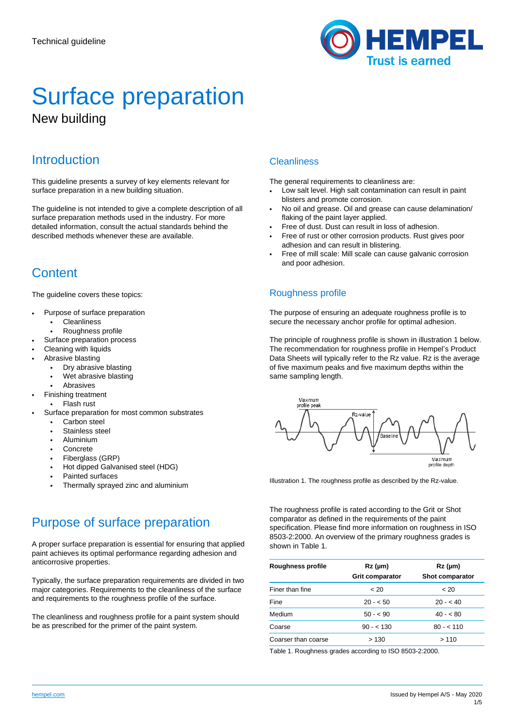

# Surface preparation New building

## **Introduction**

This guideline presents a survey of key elements relevant for surface preparation in a new building situation.

The guideline is not intended to give a complete description of all surface preparation methods used in the industry. For more detailed information, consult the actual standards behind the described methods whenever these are available.

## **Content**

The guideline covers these topics:

- Purpose of surface preparation
	- **Cleanliness**
	- Roughness profile
- Surface preparation process
- Cleaning with liquids
- Abrasive blasting
	- Dry abrasive blasting
	- Wet abrasive blasting
	- **Abrasives**
- Finishing treatment
- Flash rust
- Surface preparation for most common substrates
	- Carbon steel
	- Stainless steel
	- Aluminium
	- **Concrete**
	- Fiberglass (GRP) • Hot dipped Galvanised steel (HDG)
	- Painted surfaces
	- Thermally sprayed zinc and aluminium

## Purpose of surface preparation

A proper surface preparation is essential for ensuring that applied paint achieves its optimal performance regarding adhesion and anticorrosive properties.

Typically, the surface preparation requirements are divided in two major categories. Requirements to the cleanliness of the surface and requirements to the roughness profile of the surface.

The cleanliness and roughness profile for a paint system should be as prescribed for the primer of the paint system.

### **Cleanliness**

The general requirements to cleanliness are:

- Low salt level. High salt contamination can result in paint blisters and promote corrosion.
- No oil and grease. Oil and grease can cause delamination/ flaking of the paint layer applied.
- Free of dust. Dust can result in loss of adhesion.
- Free of rust or other corrosion products. Rust gives poor adhesion and can result in blistering.
- Free of mill scale: Mill scale can cause galvanic corrosion and poor adhesion.

## Roughness profile

The purpose of ensuring an adequate roughness profile is to secure the necessary anchor profile for optimal adhesion.

The principle of roughness profile is shown in illustration 1 below. The recommendation for roughness profile in Hempel's Product Data Sheets will typically refer to the Rz value. Rz is the average of five maximum peaks and five maximum depths within the same sampling length.



Illustration 1. The roughness profile as described by the Rz-value.

The roughness profile is rated according to the Grit or Shot comparator as defined in the requirements of the paint specification. Please find more information on roughness in ISO 8503-2:2000. An overview of the primary roughness grades is shown in Table 1.

| Roughness profile   | $Rz$ (µm)<br><b>Grit comparator</b> | $Rz$ (µm)<br><b>Shot comparator</b> |
|---------------------|-------------------------------------|-------------------------------------|
| Finer than fine     | ~< 20                               | ~< 20                               |
| Fine                | $20 - 50$                           | $20 - 40$                           |
| Medium              | $50 - 50$                           | $40 - 80$                           |
| Coarse              | $90 - 130$                          | $80 - 110$                          |
| Coarser than coarse | >130                                | >110                                |

Table 1. Roughness grades according to ISO 8503-2:2000.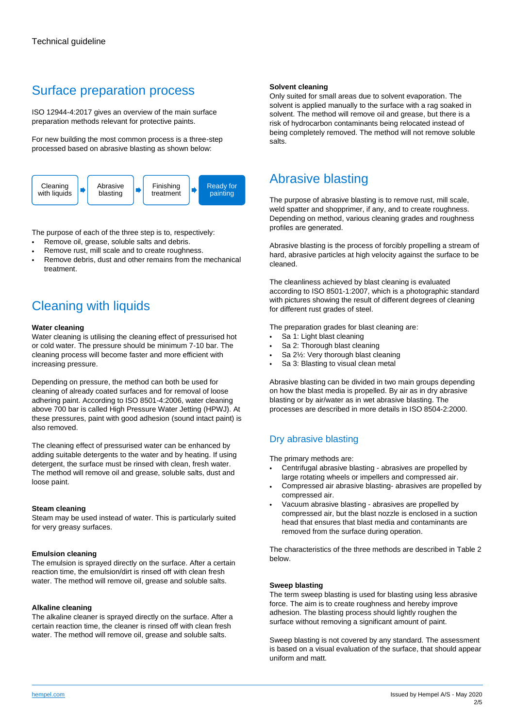## Surface preparation process

ISO 12944-4:2017 gives an overview of the main surface preparation methods relevant for protective paints.

For new building the most common process is a three-step processed based on abrasive blasting as shown below:



The purpose of each of the three step is to, respectively:

- Remove oil, grease, soluble salts and debris.
- Remove rust, mill scale and to create roughness.
- Remove debris, dust and other remains from the mechanical treatment.

## Cleaning with liquids

#### **Water cleaning**

Water cleaning is utilising the cleaning effect of pressurised hot or cold water. The pressure should be minimum 7-10 bar. The cleaning process will become faster and more efficient with increasing pressure.

Depending on pressure, the method can both be used for cleaning of already coated surfaces and for removal of loose adhering paint. According to ISO 8501-4:2006, water cleaning above 700 bar is called High Pressure Water Jetting (HPWJ). At these pressures, paint with good adhesion (sound intact paint) is also removed.

The cleaning effect of pressurised water can be enhanced by adding suitable detergents to the water and by heating. If using detergent, the surface must be rinsed with clean, fresh water. The method will remove oil and grease, soluble salts, dust and loose paint.

#### **Steam cleaning**

Steam may be used instead of water. This is particularly suited for very greasy surfaces.

#### **Emulsion cleaning**

The emulsion is sprayed directly on the surface. After a certain reaction time, the emulsion/dirt is rinsed off with clean fresh water. The method will remove oil, grease and soluble salts.

#### **Alkaline cleaning**

The alkaline cleaner is sprayed directly on the surface. After a certain reaction time, the cleaner is rinsed off with clean fresh water. The method will remove oil, grease and soluble salts.

#### **Solvent cleaning**

Only suited for small areas due to solvent evaporation. The solvent is applied manually to the surface with a rag soaked in solvent. The method will remove oil and grease, but there is a risk of hydrocarbon contaminants being relocated instead of being completely removed. The method will not remove soluble salts.

## Abrasive blasting

The purpose of abrasive blasting is to remove rust, mill scale, weld spatter and shopprimer, if any, and to create roughness. Depending on method, various cleaning grades and roughness profiles are generated.

Abrasive blasting is the process of forcibly propelling a stream of hard, abrasive particles at high velocity against the surface to be cleaned.

The cleanliness achieved by blast cleaning is evaluated according to ISO 8501-1:2007, which is a photographic standard with pictures showing the result of different degrees of cleaning for different rust grades of steel.

The preparation grades for blast cleaning are:

- Sa 1: Light blast cleaning
- Sa 2: Thorough blast cleaning
- Sa 2½: Very thorough blast cleaning
- Sa 3: Blasting to visual clean metal

Abrasive blasting can be divided in two main groups depending on how the blast media is propelled. By air as in dry abrasive blasting or by air/water as in wet abrasive blasting. The processes are described in more details in ISO 8504-2:2000.

## Dry abrasive blasting

The primary methods are:

- Centrifugal abrasive blasting abrasives are propelled by large rotating wheels or impellers and compressed air.
- Compressed air abrasive blasting- abrasives are propelled by compressed air.
- Vacuum abrasive blasting abrasives are propelled by compressed air, but the blast nozzle is enclosed in a suction head that ensures that blast media and contaminants are removed from the surface during operation.

The characteristics of the three methods are described in Table 2 below.

#### **Sweep blasting**

The term sweep blasting is used for blasting using less abrasive force. The aim is to create roughness and hereby improve adhesion. The blasting process should lightly roughen the surface without removing a significant amount of paint.

Sweep blasting is not covered by any standard. The assessment is based on a visual evaluation of the surface, that should appear uniform and matt.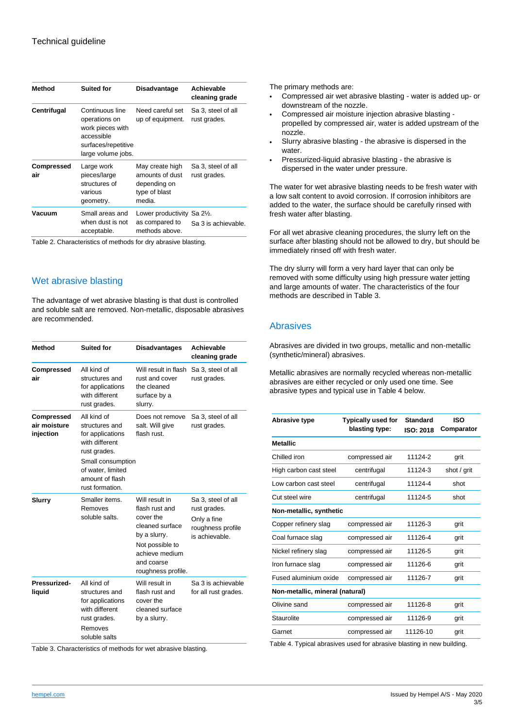| <b>Method</b>            | <b>Suited for</b>                                                                                               | Disadvantage                                                                  | Achievable<br>cleaning grade       |
|--------------------------|-----------------------------------------------------------------------------------------------------------------|-------------------------------------------------------------------------------|------------------------------------|
| Centrifugal              | Continuous line<br>operations on<br>work pieces with<br>accessible<br>surfaces/repetitive<br>large volume jobs. | Need careful set<br>up of equipment.                                          | Sa 3, steel of all<br>rust grades. |
| <b>Compressed</b><br>air | Large work<br>pieces/large<br>structures of<br>various<br>geometry.                                             | May create high<br>amounts of dust<br>depending on<br>type of blast<br>media. | Sa 3, steel of all<br>rust grades. |
| Vacuum                   | Small areas and<br>when dust is not<br>acceptable.                                                              | Lower productivity Sa 21/2.<br>as compared to<br>methods above.               | Sa 3 is achievable.                |
|                          |                                                                                                                 |                                                                               |                                    |

Table 2. Characteristics of methods for dry abrasive blasting.

### Wet abrasive blasting

The advantage of wet abrasive blasting is that dust is controlled and soluble salt are removed. Non-metallic, disposable abrasives are recommended.

| <b>Method</b>                           | <b>Suited for</b>                                                                                                                                                   | <b>Disadvantages</b>                                                                                                                                      | Achievable<br>cleaning grade                                                             |
|-----------------------------------------|---------------------------------------------------------------------------------------------------------------------------------------------------------------------|-----------------------------------------------------------------------------------------------------------------------------------------------------------|------------------------------------------------------------------------------------------|
| <b>Compressed</b><br>air                | All kind of<br>structures and<br>for applications<br>with different<br>rust grades.                                                                                 | Will result in flash<br>rust and cover<br>the cleaned<br>surface by a<br>slurry.                                                                          | Sa 3, steel of all<br>rust grades.                                                       |
| Compressed<br>air moisture<br>injection | All kind of<br>structures and<br>for applications<br>with different<br>rust grades.<br>Small consumption<br>of water, limited<br>amount of flash<br>rust formation. | Does not remove<br>salt. Will give<br>flash rust.                                                                                                         | Sa 3, steel of all<br>rust grades.                                                       |
| <b>Slurry</b>                           | Smaller items.<br>Removes<br>soluble salts.                                                                                                                         | Will result in<br>flash rust and<br>cover the<br>cleaned surface<br>by a slurry.<br>Not possible to<br>achieve medium<br>and coarse<br>roughness profile. | Sa 3, steel of all<br>rust grades.<br>Only a fine<br>roughness profile<br>is achievable. |
| Pressurized-<br>liquid                  | All kind of<br>structures and<br>for applications<br>with different<br>rust grades.<br>Removes<br>soluble salts                                                     | Will result in<br>flash rust and<br>cover the<br>cleaned surface<br>by a slurry.                                                                          | Sa 3 is achievable<br>for all rust grades.                                               |

Table 3. Characteristics of methods for wet abrasive blasting.

The primary methods are:

- Compressed air wet abrasive blasting water is added up- or downstream of the nozzle.
- Compressed air moisture injection abrasive blasting propelled by compressed air, water is added upstream of the nozzle.
- Slurry abrasive blasting the abrasive is dispersed in the water.
- Pressurized-liquid abrasive blasting the abrasive is dispersed in the water under pressure.

The water for wet abrasive blasting needs to be fresh water with a low salt content to avoid corrosion. If corrosion inhibitors are added to the water, the surface should be carefully rinsed with fresh water after blasting.

For all wet abrasive cleaning procedures, the slurry left on the surface after blasting should not be allowed to dry, but should be immediately rinsed off with fresh water.

The dry slurry will form a very hard layer that can only be removed with some difficulty using high pressure water jetting and large amounts of water. The characteristics of the four methods are described in Table 3.

### Abrasives

Abrasives are divided in two groups, metallic and non-metallic (synthetic/mineral) abrasives.

Metallic abrasives are normally recycled whereas non-metallic abrasives are either recycled or only used one time. See abrasive types and typical use in Table 4 below.

| <b>Abrasive type</b>            | <b>Typically used for</b><br>blasting type: | Standard<br>ISO: 2018 | <b>ISO</b><br>Comparator |
|---------------------------------|---------------------------------------------|-----------------------|--------------------------|
| <b>Metallic</b>                 |                                             |                       |                          |
| Chilled iron                    | compressed air                              | 11124-2               | grit                     |
| High carbon cast steel          | centrifugal                                 | 11124-3               | shot / grit              |
| Low carbon cast steel           | centrifugal                                 | 11124-4               | shot                     |
| Cut steel wire                  | centrifugal                                 | 11124-5               | shot                     |
| Non-metallic, synthetic         |                                             |                       |                          |
| Copper refinery slag            | compressed air                              | 11126-3               | grit                     |
| Coal furnace slag               | compressed air                              | 11126-4               | grit                     |
| Nickel refinery slag            | compressed air                              | 11126-5               | grit                     |
| Iron furnace slag               | compressed air                              | 11126-6               | arit                     |
| Fused aluminium oxide           | compressed air                              | 11126-7               | arit                     |
| Non-metallic, mineral (natural) |                                             |                       |                          |
| Olivine sand                    | compressed air                              | 11126-8               | grit                     |
| Staurolite                      | compressed air                              | 11126-9               | grit                     |
| Garnet                          | compressed air                              | 11126-10              | grit                     |

Table 4. Typical abrasives used for abrasive blasting in new building.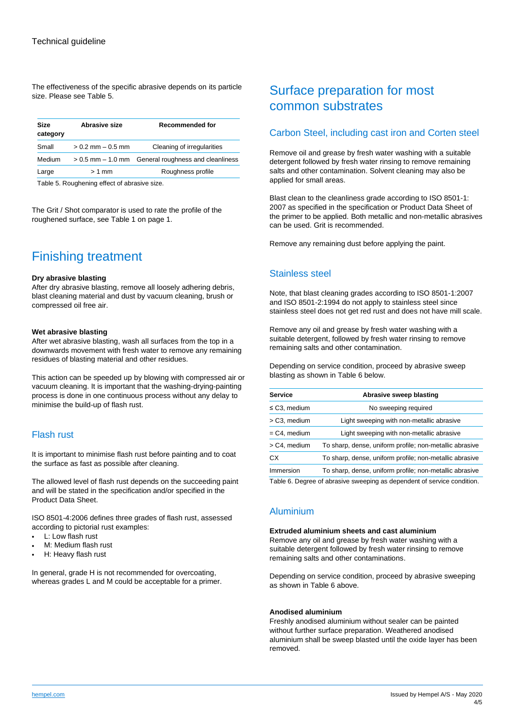The effectiveness of the specific abrasive depends on its particle size. Please see Table 5.

| <b>Size</b><br>category | Abrasive size         | <b>Recommended for</b>                              |
|-------------------------|-----------------------|-----------------------------------------------------|
| Small                   | $> 0.2$ mm $- 0.5$ mm | Cleaning of irregularities                          |
| Medium                  |                       | > 0.5 mm – 1.0 mm General roughness and cleanliness |
| Large                   | $> 1$ mm              | Roughness profile                                   |

Table 5. Roughening effect of abrasive size.

The Grit / Shot comparator is used to rate the profile of the roughened surface, see Table 1 on page 1.

## Finishing treatment

#### **Dry abrasive blasting**

After dry abrasive blasting, remove all loosely adhering debris, blast cleaning material and dust by vacuum cleaning, brush or compressed oil free air.

#### **Wet abrasive blasting**

After wet abrasive blasting, wash all surfaces from the top in a downwards movement with fresh water to remove any remaining residues of blasting material and other residues.

This action can be speeded up by blowing with compressed air or vacuum cleaning. It is important that the washing-drying-painting process is done in one continuous process without any delay to minimise the build-up of flash rust.

#### Flash rust

It is important to minimise flash rust before painting and to coat the surface as fast as possible after cleaning.

The allowed level of flash rust depends on the succeeding paint and will be stated in the specification and/or specified in the Product Data Sheet.

ISO 8501-4:2006 defines three grades of flash rust, assessed according to pictorial rust examples:

- L: Low flash rust
- M: Medium flash rust
- H: Heavy flash rust

In general, grade H is not recommended for overcoating, whereas grades L and M could be acceptable for a primer.

## Surface preparation for most common substrates

### Carbon Steel, including cast iron and Corten steel

Remove oil and grease by fresh water washing with a suitable detergent followed by fresh water rinsing to remove remaining salts and other contamination. Solvent cleaning may also be applied for small areas.

Blast clean to the cleanliness grade according to ISO 8501-1: 2007 as specified in the specification or Product Data Sheet of the primer to be applied. Both metallic and non-metallic abrasives can be used. Grit is recommended.

Remove any remaining dust before applying the paint.

### Stainless steel

Note, that blast cleaning grades according to ISO 8501-1:2007 and ISO 8501-2:1994 do not apply to stainless steel since stainless steel does not get red rust and does not have mill scale.

Remove any oil and grease by fresh water washing with a suitable detergent, followed by fresh water rinsing to remove remaining salts and other contamination.

Depending on service condition, proceed by abrasive sweep blasting as shown in Table 6 below.

| <b>Service</b>    | Abrasive sweep blasting                                 |
|-------------------|---------------------------------------------------------|
| $\leq$ C3, medium | No sweeping required                                    |
| > C3, medium      | Light sweeping with non-metallic abrasive               |
| $= C4$ , medium   | Light sweeping with non-metallic abrasive               |
| > C4, medium      | To sharp, dense, uniform profile; non-metallic abrasive |
| CX.               | To sharp, dense, uniform profile; non-metallic abrasive |
| Immersion         | To sharp, dense, uniform profile; non-metallic abrasive |

Table 6. Degree of abrasive sweeping as dependent of service condition.

## Aluminium

#### **Extruded aluminium sheets and cast aluminium**

Remove any oil and grease by fresh water washing with a suitable detergent followed by fresh water rinsing to remove remaining salts and other contaminations.

Depending on service condition, proceed by abrasive sweeping as shown in Table 6 above.

#### **Anodised aluminium**

Freshly anodised aluminium without sealer can be painted without further surface preparation. Weathered anodised aluminium shall be sweep blasted until the oxide layer has been removed.